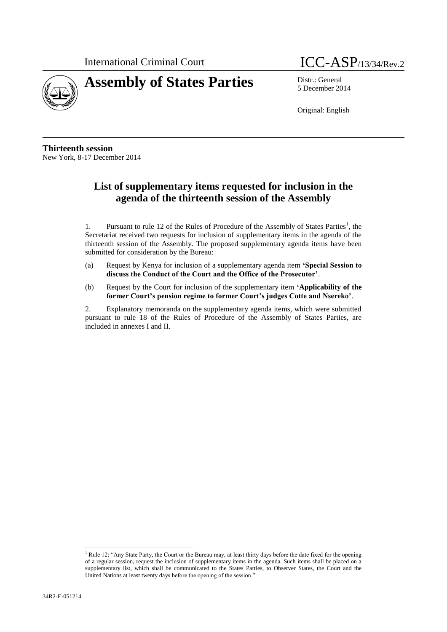



5 December 2014

Original: English

**Thirteenth session** New York, 8-17 December 2014

# **List of supplementary items requested for inclusion in the agenda of the thirteenth session of the Assembly**

1. Pursuant to rule 12 of the Rules of Procedure of the Assembly of States Parties<sup>1</sup>, the Secretariat received two requests for inclusion of supplementary items in the agenda of the thirteenth session of the Assembly. The proposed supplementary agenda items have been submitted for consideration by the Bureau:

- (a) Request by Kenya for inclusion of a supplementary agenda item **'Special Session to discuss the Conduct of the Court and the Office of the Prosecutor'**.
- (b) Request by the Court for inclusion of the supplementary item **'Applicability of the former Court's pension regime to former Court's judges Cotte and Nsereko'**.

2. Explanatory memoranda on the supplementary agenda items, which were submitted pursuant to rule 18 of the Rules of Procedure of the Assembly of States Parties, are included in annexes I and II.

 $\overline{\phantom{a}}$ 

<sup>&</sup>lt;sup>1</sup> Rule 12: "Any State Party, the Court or the Bureau may, at least thirty days before the date fixed for the opening of a regular session, request the inclusion of supplementary items in the agenda. Such items shall be placed on a supplementary list, which shall be communicated to the States Parties, to Observer States, the Court and the United Nations at least twenty days before the opening of the session."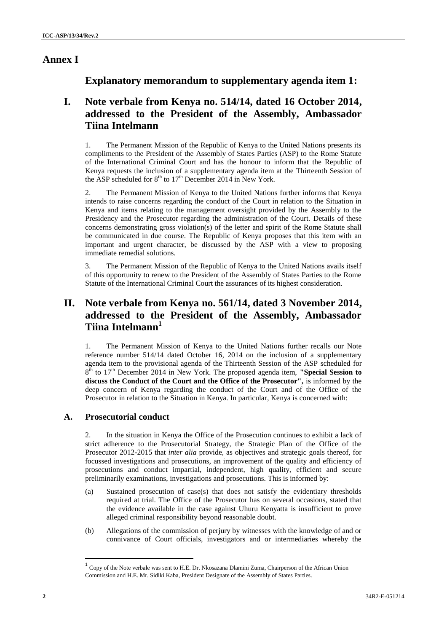## **Annex I**

## **Explanatory memorandum to supplementary agenda item 1:**

## **I. Note verbale from Kenya no. 514/14, dated 16 October 2014, addressed to the President of the Assembly, Ambassador Tiina Intelmann**

1. The Permanent Mission of the Republic of Kenya to the United Nations presents its compliments to the President of the Assembly of States Parties (ASP) to the Rome Statute of the International Criminal Court and has the honour to inform that the Republic of Kenya requests the inclusion of a supplementary agenda item at the Thirteenth Session of the ASP scheduled for  $8<sup>th</sup>$  to  $17<sup>th</sup>$  December 2014 in New York.

2. The Permanent Mission of Kenya to the United Nations further informs that Kenya intends to raise concerns regarding the conduct of the Court in relation to the Situation in Kenya and items relating to the management oversight provided by the Assembly to the Presidency and the Prosecutor regarding the administration of the Court. Details of these concerns demonstrating gross violation(s) of the letter and spirit of the Rome Statute shall be communicated in due course. The Republic of Kenya proposes that this item with an important and urgent character, be discussed by the ASP with a view to proposing immediate remedial solutions.

3. The Permanent Mission of the Republic of Kenya to the United Nations avails itself of this opportunity to renew to the President of the Assembly of States Parties to the Rome Statute of the International Criminal Court the assurances of its highest consideration.

# **II. Note verbale from Kenya no. 561/14, dated 3 November 2014, addressed to the President of the Assembly, Ambassador Tiina Intelmann<sup>1</sup>**

1. The Permanent Mission of Kenya to the United Nations further recalls our Note reference number 514/14 dated October 16, 2014 on the inclusion of a supplementary agenda item to the provisional agenda of the Thirteenth Session of the ASP scheduled for 8<sup>th</sup> to 17<sup>th</sup> December 2014 in New York. The proposed agenda item, "**Special Session to discuss the Conduct of the Court and the Office of the Prosecutor",** is informed by the deep concern of Kenya regarding the conduct of the Court and of the Office of the Prosecutor in relation to the Situation in Kenya. In particular, Kenya is concerned with:

### **A. Prosecutorial conduct**

2. In the situation in Kenya the Office of the Prosecution continues to exhibit a lack of strict adherence to the Prosecutorial Strategy, the Strategic Plan of the Office of the Prosecutor 2012-2015 that *inter alia* provide, as objectives and strategic goals thereof, for focussed investigations and prosecutions, an improvement of the quality and efficiency of prosecutions and conduct impartial, independent, high quality, efficient and secure preliminarily examinations, investigations and prosecutions. This is informed by:

- (a) Sustained prosecution of case(s) that does not satisfy the evidentiary thresholds required at trial. The Office of the Prosecutor has on several occasions, stated that the evidence available in the case against Uhuru Kenyatta is insufficient to prove alleged criminal responsibility beyond reasonable doubt.
- (b) Allegations of the commission of perjury by witnesses with the knowledge of and or connivance of Court officials, investigators and or intermediaries whereby the

 $\overline{a}$ 

<sup>&</sup>lt;sup>1</sup> Copy of the Note verbale was sent to H.E. Dr. Nkosazana Dlamini Zuma, Chairperson of the African Union Commission and H.E. Mr. Sidiki Kaba, President Designate of the Assembly of States Parties.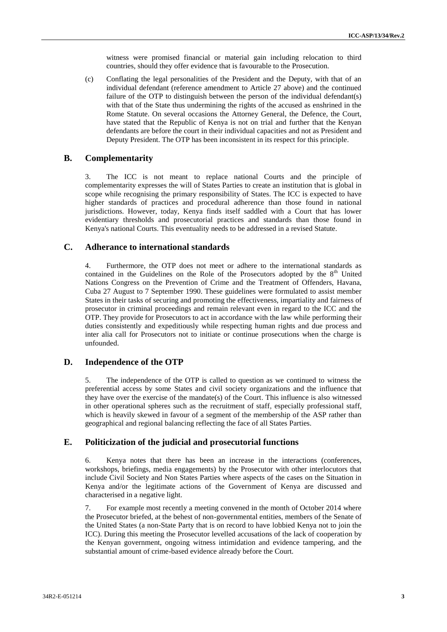witness were promised financial or material gain including relocation to third countries, should they offer evidence that is favourable to the Prosecution.

(c) Conflating the legal personalities of the President and the Deputy, with that of an individual defendant (reference amendment to Article 27 above) and the continued failure of the OTP to distinguish between the person of the individual defendant(s) with that of the State thus undermining the rights of the accused as enshrined in the Rome Statute. On several occasions the Attorney General, the Defence, the Court, have stated that the Republic of Kenya is not on trial and further that the Kenyan defendants are before the court in their individual capacities and not as President and Deputy President. The OTP has been inconsistent in its respect for this principle.

#### **B. Complementarity**

3. The ICC is not meant to replace national Courts and the principle of complementarity expresses the will of States Parties to create an institution that is global in scope while recognising the primary responsibility of States. The ICC is expected to have higher standards of practices and procedural adherence than those found in national jurisdictions. However, today, Kenya finds itself saddled with a Court that has lower evidentiary thresholds and prosecutorial practices and standards than those found in Kenya's national Courts. This eventuality needs to be addressed in a revised Statute.

#### **C. Adherance to international standards**

4. Furthermore, the OTP does not meet or adhere to the international standards as contained in the Guidelines on the Role of the Prosecutors adopted by the  $8<sup>th</sup>$  United Nations Congress on the Prevention of Crime and the Treatment of Offenders, Havana, Cuba 27 August to 7 September 1990. These guidelines were formulated to assist member States in their tasks of securing and promoting the effectiveness, impartiality and fairness of prosecutor in criminal proceedings and remain relevant even in regard to the ICC and the OTP. They provide for Prosecutors to act in accordance with the law while performing their duties consistently and expeditiously while respecting human rights and due process and inter alia call for Prosecutors not to initiate or continue prosecutions when the charge is unfounded.

#### **D. Independence of the OTP**

5. The independence of the OTP is called to question as we continued to witness the preferential access by some States and civil society organizations and the influence that they have over the exercise of the mandate(s) of the Court. This influence is also witnessed in other operational spheres such as the recruitment of staff, especially professional staff, which is heavily skewed in favour of a segment of the membership of the ASP rather than geographical and regional balancing reflecting the face of all States Parties.

#### **E. Politicization of the judicial and prosecutorial functions**

6. Kenya notes that there has been an increase in the interactions (conferences, workshops, briefings, media engagements) by the Prosecutor with other interlocutors that include Civil Society and Non States Parties where aspects of the cases on the Situation in Kenya and/or the legitimate actions of the Government of Kenya are discussed and characterised in a negative light.

7. For example most recently a meeting convened in the month of October 2014 where the Prosecutor briefed, at the behest of non-governmental entities, members of the Senate of the United States (a non-State Party that is on record to have lobbied Kenya not to join the ICC). During this meeting the Prosecutor levelled accusations of the lack of cooperation by the Kenyan government, ongoing witness intimidation and evidence tampering, and the substantial amount of crime-based evidence already before the Court.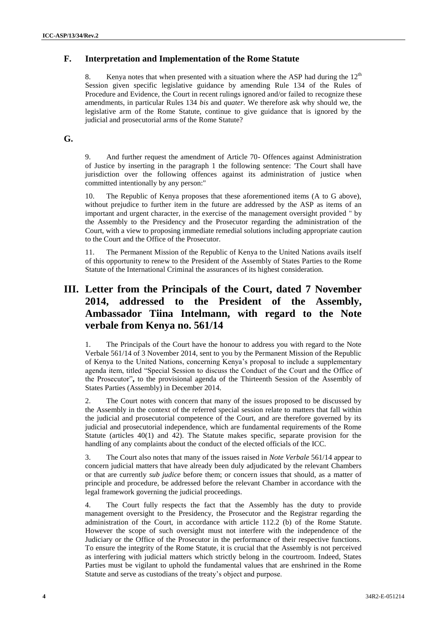### **F. Interpretation and Implementation of the Rome Statute**

8. Kenya notes that when presented with a situation where the ASP had during the  $12<sup>th</sup>$ Session given specific legislative guidance by amending Rule 134 of the Rules of Procedure and Evidence, the Court in recent rulings ignored and/or failed to recognize these amendments, in particular Rules 134 *bis* and *quater.* We therefore ask why should we, the legislative arm of the Rome Statute, continue to give guidance that is ignored by the judicial and prosecutorial arms of the Rome Statute?

### **G.**

9. And further request the amendment of Article 70- Offences against Administration of Justice by inserting in the paragraph 1 the following sentence: 'The Court shall have jurisdiction over the following offences against its administration of justice when committed intentionally by any person:"

10. The Republic of Kenya proposes that these aforementioned items (A to G above), without prejudice to further item in the future are addressed by the ASP as items of an important and urgent character, in the exercise of the management oversight provided " by the Assembly to the Presidency and the Prosecutor regarding the administration of the Court, with a view to proposing immediate remedial solutions including appropriate caution to the Court and the Office of the Prosecutor.

11. The Permanent Mission of the Republic of Kenya to the United Nations avails itself of this opportunity to renew to the President of the Assembly of States Parties to the Rome Statute of the International Criminal the assurances of its highest consideration.

# **III. Letter from the Principals of the Court, dated 7 November 2014, addressed to the President of the Assembly, Ambassador Tiina Intelmann, with regard to the Note verbale from Kenya no. 561/14**

1. The Principals of the Court have the honour to address you with regard to the Note Verbale 561/14 of 3 November 2014, sent to you by the Permanent Mission of the Republic of Kenya to the United Nations, concerning Kenya's proposal to include a supplementary agenda item, titled "Special Session to discuss the Conduct of the Court and the Office of the Prosecutor"**,** to the provisional agenda of the Thirteenth Session of the Assembly of States Parties (Assembly) in December 2014.

2. The Court notes with concern that many of the issues proposed to be discussed by the Assembly in the context of the referred special session relate to matters that fall within the judicial and prosecutorial competence of the Court, and are therefore governed by its judicial and prosecutorial independence, which are fundamental requirements of the Rome Statute (articles 40(1) and 42). The Statute makes specific, separate provision for the handling of any complaints about the conduct of the elected officials of the ICC.

3. The Court also notes that many of the issues raised in *Note Verbale* 561/14 appear to concern judicial matters that have already been duly adjudicated by the relevant Chambers or that are currently *sub judice* before them; or concern issues that should, as a matter of principle and procedure, be addressed before the relevant Chamber in accordance with the legal framework governing the judicial proceedings.

The Court fully respects the fact that the Assembly has the duty to provide management oversight to the Presidency, the Prosecutor and the Registrar regarding the administration of the Court, in accordance with article 112.2 (b) of the Rome Statute. However the scope of such oversight must not interfere with the independence of the Judiciary or the Office of the Prosecutor in the performance of their respective functions. To ensure the integrity of the Rome Statute, it is crucial that the Assembly is not perceived as interfering with judicial matters which strictly belong in the courtroom. Indeed, States Parties must be vigilant to uphold the fundamental values that are enshrined in the Rome Statute and serve as custodians of the treaty's object and purpose.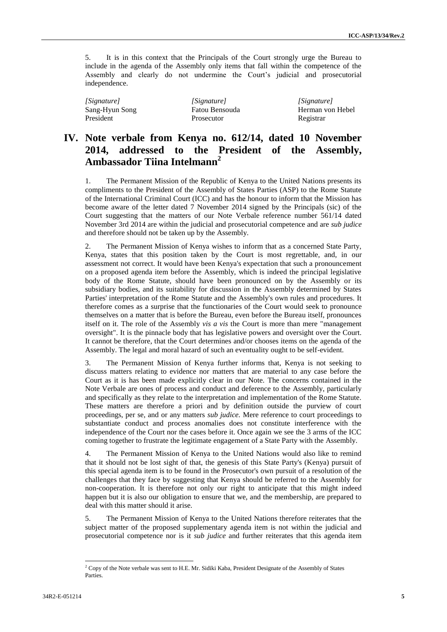5. It is in this context that the Principals of the Court strongly urge the Bureau to include in the agenda of the Assembly only items that fall within the competence of the Assembly and clearly do not undermine the Court's judicial and prosecutorial independence.

| [Signature]    | [Signature]       | [Signature]      |
|----------------|-------------------|------------------|
| Sang-Hyun Song | Fatou Bensouda    | Herman von Hebel |
| President      | <b>Prosecutor</b> | Registrar        |

# **IV. Note verbale from Kenya no. 612/14, dated 10 November 2014, addressed to the President of the Assembly, Ambassador Tiina Intelmann<sup>2</sup>**

1. The Permanent Mission of the Republic of Kenya to the United Nations presents its compliments to the President of the Assembly of States Parties (ASP) to the Rome Statute of the International Criminal Court (ICC) and has the honour to inform that the Mission has become aware of the letter dated 7 November 2014 signed by the Principals (sic) of the Court suggesting that the matters of our Note Verbale reference number 561/14 dated November 3rd 2014 are within the judicial and prosecutorial competence and are *sub judice*  and therefore should not be taken up by the Assembly.

2. The Permanent Mission of Kenya wishes to inform that as a concerned State Party, Kenya, states that this position taken by the Court is most regrettable, and, in our assessment not correct. It would have been Kenya's expectation that such a pronouncement on a proposed agenda item before the Assembly, which is indeed the principal legislative body of the Rome Statute, should have been pronounced on by the Assembly or its subsidiary bodies, and its suitability for discussion in the Assembly determined by States Parties' interpretation of the Rome Statute and the Assembly's own rules and procedures. It therefore comes as a surprise that the functionaries of the Court would seek to pronounce themselves on a matter that is before the Bureau, even before the Bureau itself, pronounces itself on it. The role of the Assembly *vis a vis* the Court is more than mere "management oversight". It is the pinnacle body that has legislative powers and oversight over the Court. It cannot be therefore, that the Court determines and/or chooses items on the agenda of the Assembly. The legal and moral hazard of such an eventuality ought to be self-evident.

3. The Permanent Mission of Kenya further informs that, Kenya is not seeking to discuss matters relating to evidence nor matters that are material to any case before the Court as it is has been made explicitly clear in our Note. The concerns contained in the Note Verbale are ones of process and conduct and deference to the Assembly, particularly and specifically as they relate to the interpretation and implementation of the Rome Statute. These matters are therefore a priori and by definition outside the purview of court proceedings, per se, and or any matters *sub judice.* Mere reference to court proceedings to substantiate conduct and process anomalies does not constitute interference with the independence of the Court nor the cases before it. Once again we see the 3 arms of the ICC coming together to frustrate the legitimate engagement of a State Party with the Assembly.

4. The Permanent Mission of Kenya to the United Nations would also like to remind that it should not be lost sight of that, the genesis of this State Party's (Kenya) pursuit of this special agenda item is to be found in the Prosecutor's own pursuit of a resolution of the challenges that they face by suggesting that Kenya should be referred to the Assembly for non-cooperation. It is therefore not only our right to anticipate that this might indeed happen but it is also our obligation to ensure that we, and the membership, are prepared to deal with this matter should it arise.

5. The Permanent Mission of Kenya to the United Nations therefore reiterates that the subject matter of the proposed supplementary agenda item is not within the judicial and prosecutorial competence nor is it *sub judice* and further reiterates that this agenda item

 $\overline{a}$ 

<sup>&</sup>lt;sup>2</sup> Copy of the Note verbale was sent to H.E. Mr. Sidiki Kaba, President Designate of the Assembly of States Parties.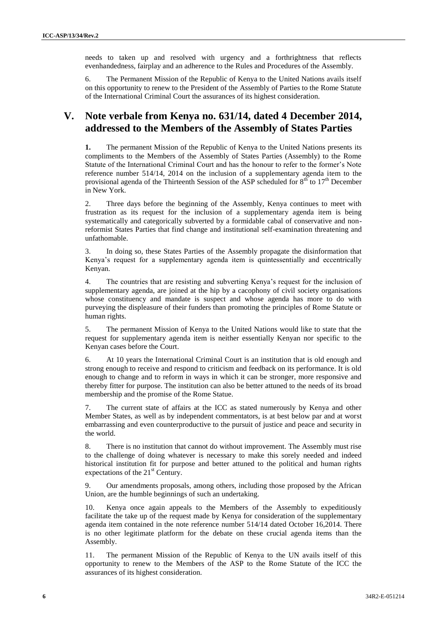needs to taken up and resolved with urgency and a forthrightness that reflects evenhandedness, fairplay and an adherence to the Rules and Procedures of the Assembly.

6. The Permanent Mission of the Republic of Kenya to the United Nations avails itself on this opportunity to renew to the President of the Assembly of Parties to the Rome Statute of the International Criminal Court the assurances of its highest consideration.

## **V. Note verbale from Kenya no. 631/14, dated 4 December 2014, addressed to the Members of the Assembly of States Parties**

**1.** The permanent Mission of the Republic of Kenya to the United Nations presents its compliments to the Members of the Assembly of States Parties (Assembly) to the Rome Statute of the International Criminal Court and has the honour to refer to the former's Note reference number 514/14, 2014 on the inclusion of a supplementary agenda item to the provisional agenda of the Thirteenth Session of the ASP scheduled for  $8<sup>th</sup>$  to  $17<sup>th</sup>$  December in New York.

2. Three days before the beginning of the Assembly, Kenya continues to meet with frustration as its request for the inclusion of a supplementary agenda item is being systematically and categorically subverted by a formidable cabal of conservative and nonreformist States Parties that find change and institutional self-examination threatening and unfathomable.

In doing so, these States Parties of the Assembly propagate the disinformation that Kenya's request for a supplementary agenda item is quintessentially and eccentrically Kenyan.

4. The countries that are resisting and subverting Kenya's request for the inclusion of supplementary agenda, are joined at the hip by a cacophony of civil society organisations whose constituency and mandate is suspect and whose agenda has more to do with purveying the displeasure of their funders than promoting the principles of Rome Statute or human rights.

5. The permanent Mission of Kenya to the United Nations would like to state that the request for supplementary agenda item is neither essentially Kenyan nor specific to the Kenyan cases before the Court.

6. At 10 years the International Criminal Court is an institution that is old enough and strong enough to receive and respond to criticism and feedback on its performance. It is old enough to change and to reform in ways in which it can be stronger, more responsive and thereby fitter for purpose. The institution can also be better attuned to the needs of its broad membership and the promise of the Rome Statue.

7. The current state of affairs at the ICC as stated numerously by Kenya and other Member States, as well as by independent commentators, is at best below par and at worst embarrassing and even counterproductive to the pursuit of justice and peace and security in the world.

8. There is no institution that cannot do without improvement. The Assembly must rise to the challenge of doing whatever is necessary to make this sorely needed and indeed historical institution fit for purpose and better attuned to the political and human rights expectations of the  $21<sup>st</sup>$  Century.

9. Our amendments proposals, among others, including those proposed by the African Union, are the humble beginnings of such an undertaking.

10. Kenya once again appeals to the Members of the Assembly to expeditiously facilitate the take up of the request made by Kenya for consideration of the supplementary agenda item contained in the note reference number 514/14 dated October 16,2014. There is no other legitimate platform for the debate on these crucial agenda items than the Assembly.

11. The permanent Mission of the Republic of Kenya to the UN avails itself of this opportunity to renew to the Members of the ASP to the Rome Statute of the ICC the assurances of its highest consideration.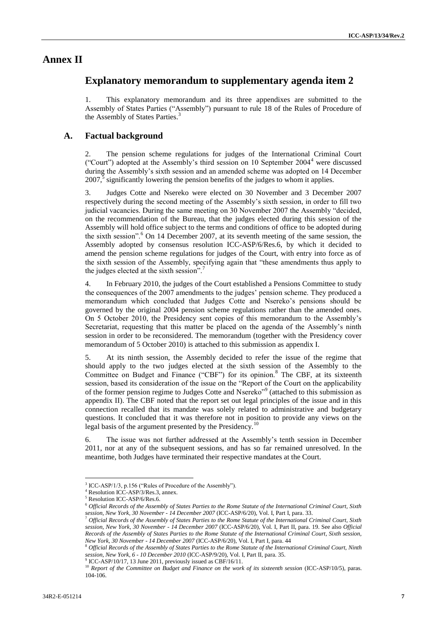### **Annex II**

### **Explanatory memorandum to supplementary agenda item 2**

1. This explanatory memorandum and its three appendixes are submitted to the Assembly of States Parties ("Assembly") pursuant to rule 18 of the Rules of Procedure of the Assembly of States Parties.<sup>3</sup>

#### **A. Factual background**

2. The pension scheme regulations for judges of the International Criminal Court ("Court") adopted at the Assembly's third session on 10 September  $2004<sup>4</sup>$  were discussed during the Assembly's sixth session and an amended scheme was adopted on 14 December  $2007$ <sup>5</sup> significantly lowering the pension benefits of the judges to whom it applies.

3. Judges Cotte and Nsereko were elected on 30 November and 3 December 2007 respectively during the second meeting of the Assembly's sixth session, in order to fill two judicial vacancies. During the same meeting on 30 November 2007 the Assembly "decided, on the recommendation of the Bureau, that the judges elected during this session of the Assembly will hold office subject to the terms and conditions of office to be adopted during the sixth session".<sup>6</sup> On 14 December 2007, at its seventh meeting of the same session, the Assembly adopted by consensus resolution ICC-ASP/6/Res.6, by which it decided to amend the pension scheme regulations for judges of the Court, with entry into force as of the sixth session of the Assembly, specifying again that "these amendments thus apply to the judges elected at the sixth session".

4. In February 2010, the judges of the Court established a Pensions Committee to study the consequences of the 2007 amendments to the judges' pension scheme. They produced a memorandum which concluded that Judges Cotte and Nsereko's pensions should be governed by the original 2004 pension scheme regulations rather than the amended ones. On 5 October 2010, the Presidency sent copies of this memorandum to the Assembly's Secretariat, requesting that this matter be placed on the agenda of the Assembly's ninth session in order to be reconsidered. The memorandum (together with the Presidency cover memorandum of 5 October 2010) is attached to this submission as appendix I.

5. At its ninth session, the Assembly decided to refer the issue of the regime that should apply to the two judges elected at the sixth session of the Assembly to the Committee on Budget and Finance ("CBF") for its opinion.<sup>8</sup> The CBF, at its sixteenth session, based its consideration of the issue on the "Report of the Court on the applicability of the former pension regime to Judges Cotte and Nsereko"<sup>9</sup> (attached to this submission as appendix II). The CBF noted that the report set out legal principles of the issue and in this connection recalled that its mandate was solely related to administrative and budgetary questions. It concluded that it was therefore not in position to provide any views on the legal basis of the argument presented by the Presidency.<sup>10</sup>

6. The issue was not further addressed at the Assembly's tenth session in December 2011, nor at any of the subsequent sessions, and has so far remained unresolved. In the meantime, both Judges have terminated their respective mandates at the Court.

 $\overline{\phantom{a}}$ 

<sup>&</sup>lt;sup>3</sup> ICC-ASP/1/3, p.156 ("Rules of Procedure of the Assembly").

<sup>&</sup>lt;sup>4</sup> Resolution ICC-ASP/3/Res.3, annex.

<sup>5</sup> Resolution ICC-ASP/6/Res.6.

<sup>6</sup> *Official Records of the Assembly of States Parties to the Rome Statute of the International Criminal Court, Sixth session, New York, 30 November - 14 December 2007* (ICC-ASP/6/20), Vol. I, Part I, para. 33.

<sup>7</sup> *Official Records of the Assembly of States Parties to the Rome Statute of the International Criminal Court, Sixth session, New York, 30 November - 14 December 2007* (ICC-ASP/6/20), Vol. I, Part II, para. 19. See also *Official Records of the Assembly of States Parties to the Rome Statute of the International Criminal Court, Sixth session, New York, 30 November - 14 December 2007* (ICC-ASP/6/20), Vol. I, Part I, para. 44

<sup>8</sup> *Official Records of the Assembly of States Parties to the Rome Statute of the International Criminal Court, Ninth session, New York, 6 - 10 December 2010* (ICC-ASP/9/20), Vol. I, Part II, para. 35.

 $9^9$  ICC-ASP/10/17, 13 June 2011, previously issued as CBF/16/11.

<sup>&</sup>lt;sup>10</sup> *Report of the Committee on Budget and Finance on the work of its sixteenth session* (ICC-ASP/10/5), paras. 104-106.